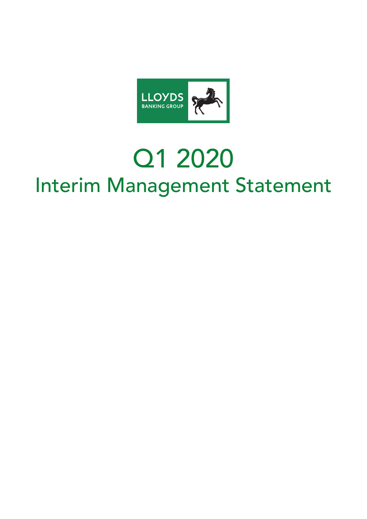

# Q1 2020 Interim Management Statement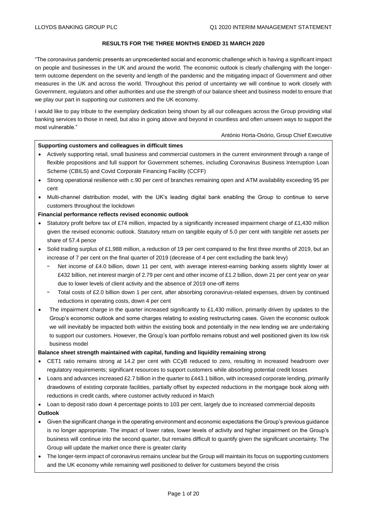## **RESULTS FOR THE THREE MONTHS ENDED 31 MARCH 2020**

"The coronavirus pandemic presents an unprecedented social and economic challenge which is having a significant impact on people and businesses in the UK and around the world. The economic outlook is clearly challenging with the longerterm outcome dependent on the severity and length of the pandemic and the mitigating impact of Government and other measures in the UK and across the world. Throughout this period of uncertainty we will continue to work closely with Government, regulators and other authorities and use the strength of our balance sheet and business model to ensure that we play our part in supporting our customers and the UK economy.

I would like to pay tribute to the exemplary dedication being shown by all our colleagues across the Group providing vital banking services to those in need, but also in going above and beyond in countless and often unseen ways to support the most vulnerable."

#### António Horta-Osório, Group Chief Executive

## **Supporting customers and colleagues in difficult times**

- Actively supporting retail, small business and commercial customers in the current environment through a range of flexible propositions and full support for Government schemes, including Coronavirus Business Interruption Loan Scheme (CBILS) and Covid Corporate Financing Facility (CCFF)
- Strong operational resilience with c.90 per cent of branches remaining open and ATM availability exceeding 95 per cent
- Multi-channel distribution model, with the UK's leading digital bank enabling the Group to continue to serve customers throughout the lockdown

#### **Financial performance reflects revised economic outlook**

- Statutory profit before tax of £74 million, impacted by a significantly increased impairment charge of  $£1,430$  million given the revised economic outlook. Statutory return on tangible equity of 5.0 per cent with tangible net assets per share of 57.4 pence
- Solid trading surplus of £1,988 million, a reduction of 19 per cent compared to the first three months of 2019, but an increase of 7 per cent on the final quarter of 2019 (decrease of 4 per cent excluding the bank levy)
	- Net income of £4.0 billion, down 11 per cent, with average interest-earning banking assets slightly lower at £432 billion, net interest margin of 2.79 per cent and other income of £1.2 billion, down 21 per cent year on year due to lower levels of client activity and the absence of 2019 one-off items
	- − Total costs of £2.0 billion down 1 per cent, after absorbing coronavirus-related expenses, driven by continued reductions in operating costs, down 4 per cent
- The impairment charge in the quarter increased significantly to £1,430 million, primarily driven by updates to the Group's economic outlook and some charges relating to existing restructuring cases. Given the economic outlook we will inevitably be impacted both within the existing book and potentially in the new lending we are undertaking to support our customers. However, the Group's loan portfolio remains robust and well positioned given its low risk business model

#### **Balance sheet strength maintained with capital, funding and liquidity remaining strong**

- CET1 ratio remains strong at 14.2 per cent with CCyB reduced to zero, resulting in increased headroom over regulatory requirements; significant resources to support customers while absorbing potential credit losses
- Loans and advances increased £2.7 billion in the quarter to £443.1 billion, with increased corporate lending, primarily drawdowns of existing corporate facilities, partially offset by expected reductions in the mortgage book along with reductions in credit cards, where customer activity reduced in March
- Loan to deposit ratio down 4 percentage points to 103 per cent, largely due to increased commercial deposits
- **Outlook**
- Given the significant change in the operating environment and economic expectations the Group's previous guidance is no longer appropriate. The impact of lower rates, lower levels of activity and higher impairment on the Group's business will continue into the second quarter, but remains difficult to quantify given the significant uncertainty. The Group will update the market once there is greater clarity
- The longer-term impact of coronavirus remains unclear but the Group will maintain its focus on supporting customers and the UK economy while remaining well positioned to deliver for customers beyond the crisis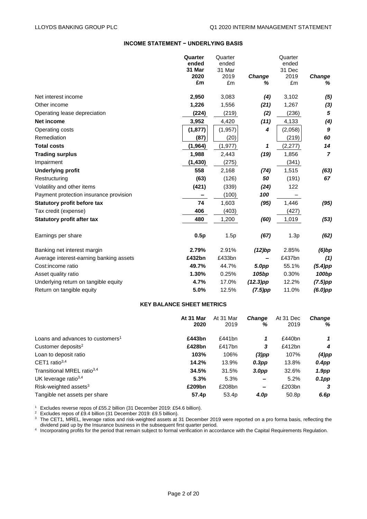## **INCOME STATEMENT − UNDERLYING BASIS**

|                                         | Quarter  | Quarter  |                   | Quarter |                   |
|-----------------------------------------|----------|----------|-------------------|---------|-------------------|
|                                         | ended    | ended    |                   | ended   |                   |
|                                         | 31 Mar   | 31 Mar   |                   | 31 Dec  |                   |
|                                         | 2020     | 2019     | Change            | 2019    | Change            |
|                                         | £m       | £m       | ℅                 | £m      | %                 |
| Net interest income                     | 2,950    | 3,083    | (4)               | 3,102   | (5)               |
| Other income                            | 1,226    | 1,556    | (21)              | 1,267   | (3)               |
| Operating lease depreciation            | (224)    | (219)    | (2)               | (236)   | 5                 |
| <b>Net income</b>                       | 3,952    | 4,420    | (11)              | 4,133   | (4)               |
| Operating costs                         | (1, 877) | (1, 957) | 4                 | (2,058) | 9                 |
| Remediation                             | (87)     | (20)     |                   | (219)   | 60                |
| <b>Total costs</b>                      | (1, 964) | (1, 977) | 1                 | (2,277) | 14                |
| <b>Trading surplus</b>                  | 1,988    | 2,443    | (19)              | 1,856   | $\overline{7}$    |
| Impairment                              | (1, 430) | (275)    |                   | (341)   |                   |
| <b>Underlying profit</b>                | 558      | 2,168    | (74)              | 1,515   | (63)              |
| Restructuring                           | (63)     | (126)    | 50                | (191)   | 67                |
| Volatility and other items              | (421)    | (339)    | (24)              | 122     |                   |
| Payment protection insurance provision  |          | (100)    | 100               |         |                   |
| <b>Statutory profit before tax</b>      | 74       | 1,603    | (95)              | 1,446   | (95)              |
| Tax credit (expense)                    | 406      | (403)    |                   | (427)   |                   |
| <b>Statutory profit after tax</b>       | 480      | 1,200    | (60)              | 1,019   | (53)              |
| Earnings per share                      | 0.5p     | 1.5p     | (67)              | 1.3p    | (62)              |
| Banking net interest margin             | 2.79%    | 2.91%    | (12)bp            | 2.85%   | $(6)$ bp          |
| Average interest-earning banking assets | £432bn   | £433bn   |                   | £437bn  | (1)               |
| Cost:income ratio                       | 49.7%    | 44.7%    | 5.0pp             | 55.1%   | $(5.4)$ pp        |
| Asset quality ratio                     | 1.30%    | 0.25%    | 105 <sub>bp</sub> | 0.30%   | 100 <sub>bp</sub> |
| Underlying return on tangible equity    | 4.7%     | 17.0%    | $(12.3)$ pp       | 12.2%   | $(7.5)$ pp        |
| Return on tangible equity               | 5.0%     | 12.5%    | $(7.5)$ pp        | 11.0%   | $(6.0)$ pp        |

#### **KEY BALANCE SHEET METRICS**

|                                              | At 31 Mar | At 31 Mar         | <b>Change</b>     | At 31 Dec | <b>Change</b>     |
|----------------------------------------------|-----------|-------------------|-------------------|-----------|-------------------|
|                                              | 2020      | 2019              | %                 | 2019      | %                 |
| Loans and advances to customers <sup>1</sup> | £443bn    | £441 $bn$         | 1                 | £440bn    | 1                 |
| Customer deposits <sup>2</sup>               | £428bn    | £417bn            | 3                 | £412bn    | 4                 |
| Loan to deposit ratio                        | 103%      | 106%              | $(3)$ pp          | 107%      | $(4)$ pp          |
| CET1 ratio $3,4$                             | 14.2%     | 13.9%             | $0.3$ pp          | 13.8%     | 0.4pp             |
| Transitional MREL ratio <sup>3,4</sup>       | 34.5%     | 31.5%             | 3.0 <sub>DP</sub> | 32.6%     | 1.9 <sub>pp</sub> |
| UK leverage ratio $3,4$                      | 5.3%      | 5.3%              |                   | 5.2%      | 0.1pp             |
| Risk-weighted assets $3$                     | £209bn    | £208bn            | -                 | £203bn    | 3                 |
| Tangible net assets per share                | 57.4p     | 53.4 <sub>p</sub> | 4.0p              | 50.8p     | 6.6p              |

<sup>1</sup> Excludes reverse repos of £55.2 billion (31 December 2019: £54.6 billion).

<sup>2</sup> Excludes repos of £9.4 billion (31 December 2019: £9.5 billion).

 $3$  The CET1, MREL, leverage ratios and risk-weighted assets at 31 December 2019 were reported on a pro forma basis, reflecting the dividend paid up by the Insurance business in the subsequent first quarter period.

4 Incorporating profits for the period that remain subject to formal verification in accordance with the Capital Requirements Regulation.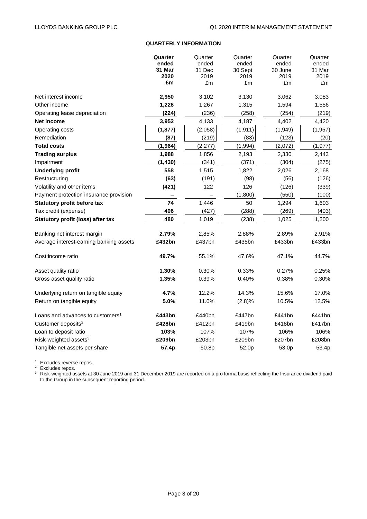## **QUARTERLY INFORMATION**

|                                              | Quarter        | Quarter        | Quarter         | Quarter         | Quarter        |
|----------------------------------------------|----------------|----------------|-----------------|-----------------|----------------|
|                                              | ended          | ended          | ended           | ended           | ended          |
|                                              | 31 Mar<br>2020 | 31 Dec<br>2019 | 30 Sept<br>2019 | 30 June<br>2019 | 31 Mar<br>2019 |
|                                              | £m             | £m             | £m              | £m              | £m             |
|                                              |                |                |                 |                 |                |
| Net interest income                          | 2,950          | 3,102          | 3,130           | 3,062           | 3,083          |
| Other income                                 | 1,226          | 1,267          | 1,315           | 1,594           | 1,556          |
| Operating lease depreciation                 | (224)          | (236)          | (258)           | (254)           | (219)          |
| Net income                                   | 3,952          | 4,133          | 4,187           | 4,402           | 4,420          |
| Operating costs                              | (1, 877)       | (2,058)        | (1, 911)        | (1,949)         | (1, 957)       |
| Remediation                                  | (87)           | (219)          | (83)            | (123)           | (20)           |
| <b>Total costs</b>                           | (1, 964)       | (2, 277)       | (1,994)         | (2,072)         | (1, 977)       |
| <b>Trading surplus</b>                       | 1,988          | 1,856          | 2,193           | 2,330           | 2,443          |
| Impairment                                   | (1, 430)       | (341)          | (371)           | (304)           | (275)          |
| <b>Underlying profit</b>                     | 558            | 1,515          | 1,822           | 2,026           | 2,168          |
| Restructuring                                | (63)           | (191)          | (98)            | (56)            | (126)          |
| Volatility and other items                   | (421)          | 122            | 126             | (126)           | (339)          |
| Payment protection insurance provision       |                |                | (1,800)         | (550)           | (100)          |
| <b>Statutory profit before tax</b>           | 74             | 1,446          | 50              | 1,294           | 1,603          |
| Tax credit (expense)                         | 406            | (427)          | (288)           | (269)           | (403)          |
| Statutory profit (loss) after tax            | 480            | 1,019          | (238)           | 1,025           | 1,200          |
|                                              |                |                |                 |                 |                |
| Banking net interest margin                  | 2.79%          | 2.85%          | 2.88%           | 2.89%           | 2.91%          |
| Average interest-earning banking assets      | £432bn         | £437bn         | £435bn          | £433bn          | £433bn         |
| Cost:income ratio                            | 49.7%          | 55.1%          | 47.6%           | 47.1%           | 44.7%          |
| Asset quality ratio                          | 1.30%          | 0.30%          | 0.33%           | 0.27%           | 0.25%          |
| Gross asset quality ratio                    | 1.35%          | 0.39%          | 0.40%           | 0.38%           | 0.30%          |
| Underlying return on tangible equity         | 4.7%           | 12.2%          | 14.3%           | 15.6%           | 17.0%          |
| Return on tangible equity                    | 5.0%           | 11.0%          | (2.8)%          | 10.5%           | 12.5%          |
| Loans and advances to customers <sup>1</sup> | £443bn         | £440bn         | £447bn          | £441bn          | £441bn         |
| Customer deposits <sup>2</sup>               | £428bn         | £412bn         | £419bn          | £418bn          | £417bn         |
| Loan to deposit ratio                        | 103%           | 107%           | 107%            | 106%            | 106%           |
| Risk-weighted assets <sup>3</sup>            | £209bn         | £203bn         | £209bn          | £207bn          | £208bn         |
| Tangible net assets per share                | 57.4p          | 50.8p          | 52.0p           | 53.0p           | 53.4p          |
|                                              |                |                |                 |                 |                |

<sup>1</sup> Excludes reverse repos.

<sup>2</sup> Excludes repos.

 $3$  Risk-weighted assets at 30 June 2019 and 31 December 2019 are reported on a pro forma basis reflecting the Insurance dividend paid to the Group in the subsequent reporting period.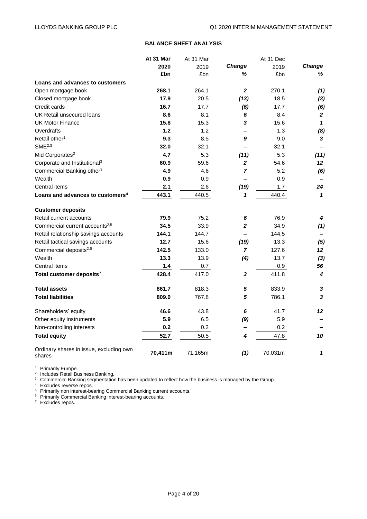## **BALANCE SHEET ANALYSIS**

|                                                   | At 31 Mar | At 31 Mar |                         | At 31 Dec |              |
|---------------------------------------------------|-----------|-----------|-------------------------|-----------|--------------|
|                                                   | 2020      | 2019      | Change                  | 2019      | Change       |
|                                                   | £bn       | £bn       | ℅                       | £bn       | %            |
| Loans and advances to customers                   |           |           |                         |           |              |
| Open mortgage book                                | 268.1     | 264.1     | $\mathbf{2}$            | 270.1     | (1)          |
| Closed mortgage book                              | 17.9      | 20.5      | (13)                    | 18.5      | $(3)$        |
| Credit cards                                      | 16.7      | 17.7      | (6)                     | 17.7      | (6)          |
| UK Retail unsecured loans                         | 8.6       | 8.1       | 6                       | 8.4       | $\mathbf{2}$ |
| <b>UK Motor Finance</b>                           | 15.8      | 15.3      | 3                       | 15.6      | $\mathbf{1}$ |
| Overdrafts                                        | $1.2$     | 1.2       |                         | 1.3       | (8)          |
| Retail other <sup>1</sup>                         | 9.3       | 8.5       | 9                       | 9.0       | $\mathbf{3}$ |
| SME <sup>2,3</sup>                                | 32.0      | 32.1      |                         | 32.1      |              |
| Mid Corporates <sup>3</sup>                       | 4.7       | 5.3       | (11)                    | 5.3       | (11)         |
| Corporate and Institutional <sup>3</sup>          | 60.9      | 59.6      | $\overline{\mathbf{2}}$ | 54.6      | 12           |
| Commercial Banking other <sup>3</sup>             | 4.9       | 4.6       | 7                       | 5.2       | (6)          |
| Wealth                                            | 0.9       | 0.9       | —                       | 0.9       |              |
| Central items                                     | 2.1       | 2.6       | (19)                    | 1.7       | 24           |
| Loans and advances to customers <sup>4</sup>      | 443.1     | 440.5     | 1                       | 440.4     | $\mathbf{1}$ |
| <b>Customer deposits</b>                          |           |           |                         |           |              |
| Retail current accounts                           | 79.9      | 75.2      | 6                       | 76.9      | 4            |
| Commercial current accounts <sup>2,5</sup>        | 34.5      | 33.9      | 2                       | 34.9      | (1)          |
| Retail relationship savings accounts              | 144.1     | 144.7     |                         | 144.5     |              |
| Retail tactical savings accounts                  | 12.7      | 15.6      | (19)                    | 13.3      | (5)          |
| Commercial deposits <sup>2,6</sup>                | 142.5     | 133.0     | 7                       | 127.6     | 12           |
| Wealth                                            | 13.3      | 13.9      | (4)                     | 13.7      | (3)          |
| Central items                                     | 1.4       | 0.7       |                         | 0.9       | 56           |
| Total customer deposits <sup>7</sup>              | 428.4     | 417.0     | 3                       | 411.8     | 4            |
| <b>Total assets</b>                               | 861.7     | 818.3     | 5                       | 833.9     | 3            |
| <b>Total liabilities</b>                          | 809.0     | 767.8     | 5                       | 786.1     | 3            |
| Shareholders' equity                              | 46.6      | 43.8      | 6                       | 41.7      | 12           |
| Other equity instruments                          | 5.9       | 6.5       | (9)                     | 5.9       |              |
| Non-controlling interests                         | 0.2       | 0.2       | -                       | 0.2       |              |
| <b>Total equity</b>                               | 52.7      | 50.5      | 4                       | 47.8      | 10           |
| Ordinary shares in issue, excluding own<br>shares | 70,411m   | 71,165m   | (1)                     | 70,031m   | 1            |

<sup>1</sup> Primarily Europe.<br><sup>2</sup> Includes Retail Business Banking.

 $3$  Commercial Banking segmentation has been updated to reflect how the business is managed by the Group.

<sup>4</sup> Excludes reverse repos.

<sup>5</sup> Primarily non interest-bearing Commercial Banking current accounts.

<sup>6</sup> Primarily Commercial Banking interest-bearing accounts.

 $7$  Excludes repos.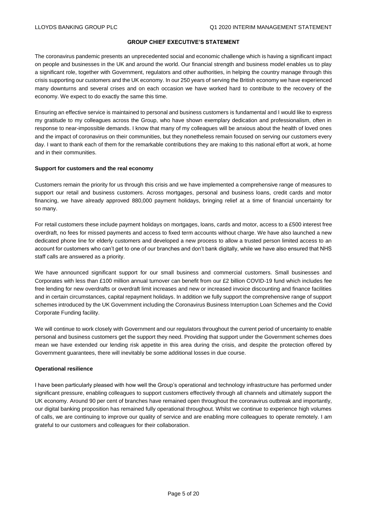## **GROUP CHIEF EXECUTIVE'S STATEMENT**

The coronavirus pandemic presents an unprecedented social and economic challenge which is having a significant impact on people and businesses in the UK and around the world. Our financial strength and business model enables us to play a significant role, together with Government, regulators and other authorities, in helping the country manage through this crisis supporting our customers and the UK economy. In our 250 years of serving the British economy we have experienced many downturns and several crises and on each occasion we have worked hard to contribute to the recovery of the economy. We expect to do exactly the same this time.

Ensuring an effective service is maintained to personal and business customers is fundamental and I would like to express my gratitude to my colleagues across the Group, who have shown exemplary dedication and professionalism, often in response to near-impossible demands. I know that many of my colleagues will be anxious about the health of loved ones and the impact of coronavirus on their communities, but they nonetheless remain focused on serving our customers every day. I want to thank each of them for the remarkable contributions they are making to this national effort at work, at home and in their communities.

#### **Support for customers and the real economy**

Customers remain the priority for us through this crisis and we have implemented a comprehensive range of measures to support our retail and business customers. Across mortgages, personal and business loans, credit cards and motor financing, we have already approved 880,000 payment holidays, bringing relief at a time of financial uncertainty for so many.

For retail customers these include payment holidays on mortgages, loans, cards and motor, access to a £500 interest free overdraft, no fees for missed payments and access to fixed term accounts without charge. We have also launched a new dedicated phone line for elderly customers and developed a new process to allow a trusted person limited access to an account for customers who can't get to one of our branches and don't bank digitally, while we have also ensured that NHS staff calls are answered as a priority.

We have announced significant support for our small business and commercial customers. Small businesses and Corporates with less than £100 million annual turnover can benefit from our £2 billion COVID-19 fund which includes fee free lending for new overdrafts or overdraft limit increases and new or increased invoice discounting and finance facilities and in certain circumstances, capital repayment holidays. In addition we fully support the comprehensive range of support schemes introduced by the UK Government including the Coronavirus Business Interruption Loan Schemes and the Covid Corporate Funding facility.

We will continue to work closely with Government and our regulators throughout the current period of uncertainty to enable personal and business customers get the support they need. Providing that support under the Government schemes does mean we have extended our lending risk appetite in this area during the crisis, and despite the protection offered by Government guarantees, there will inevitably be some additional losses in due course.

#### **Operational resilience**

I have been particularly pleased with how well the Group's operational and technology infrastructure has performed under significant pressure, enabling colleagues to support customers effectively through all channels and ultimately support the UK economy. Around 90 per cent of branches have remained open throughout the coronavirus outbreak and importantly, our digital banking proposition has remained fully operational throughout. Whilst we continue to experience high volumes of calls, we are continuing to improve our quality of service and are enabling more colleagues to operate remotely. I am grateful to our customers and colleagues for their collaboration.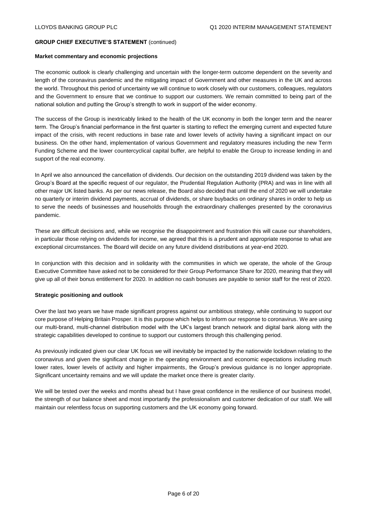## **GROUP CHIEF EXECUTIVE'S STATEMENT** (continued)

#### **Market commentary and economic projections**

The economic outlook is clearly challenging and uncertain with the longer-term outcome dependent on the severity and length of the coronavirus pandemic and the mitigating impact of Government and other measures in the UK and across the world. Throughout this period of uncertainty we will continue to work closely with our customers, colleagues, regulators and the Government to ensure that we continue to support our customers. We remain committed to being part of the national solution and putting the Group's strength to work in support of the wider economy.

The success of the Group is inextricably linked to the health of the UK economy in both the longer term and the nearer term. The Group's financial performance in the first quarter is starting to reflect the emerging current and expected future impact of the crisis, with recent reductions in base rate and lower levels of activity having a significant impact on our business. On the other hand, implementation of various Government and regulatory measures including the new Term Funding Scheme and the lower countercyclical capital buffer, are helpful to enable the Group to increase lending in and support of the real economy.

In April we also announced the cancellation of dividends. Our decision on the outstanding 2019 dividend was taken by the Group's Board at the specific request of our regulator, the Prudential Regulation Authority (PRA) and was in line with all other major UK listed banks. As per our news release, the Board also decided that until the end of 2020 we will undertake no quarterly or interim dividend payments, accrual of dividends, or share buybacks on ordinary shares in order to help us to serve the needs of businesses and households through the extraordinary challenges presented by the coronavirus pandemic.

These are difficult decisions and, while we recognise the disappointment and frustration this will cause our shareholders, in particular those relying on dividends for income, we agreed that this is a prudent and appropriate response to what are exceptional circumstances. The Board will decide on any future dividend distributions at year-end 2020.

In conjunction with this decision and in solidarity with the communities in which we operate, the whole of the Group Executive Committee have asked not to be considered for their Group Performance Share for 2020, meaning that they will give up all of their bonus entitlement for 2020. In addition no cash bonuses are payable to senior staff for the rest of 2020.

## **Strategic positioning and outlook**

Over the last two years we have made significant progress against our ambitious strategy, while continuing to support our core purpose of Helping Britain Prosper. It is this purpose which helps to inform our response to coronavirus. We are using our multi-brand, multi-channel distribution model with the UK's largest branch network and digital bank along with the strategic capabilities developed to continue to support our customers through this challenging period.

As previously indicated given our clear UK focus we will inevitably be impacted by the nationwide lockdown relating to the coronavirus and given the significant change in the operating environment and economic expectations including much lower rates, lower levels of activity and higher impairments, the Group's previous guidance is no longer appropriate. Significant uncertainty remains and we will update the market once there is greater clarity.

We will be tested over the weeks and months ahead but I have great confidence in the resilience of our business model, the strength of our balance sheet and most importantly the professionalism and customer dedication of our staff. We will maintain our relentless focus on supporting customers and the UK economy going forward.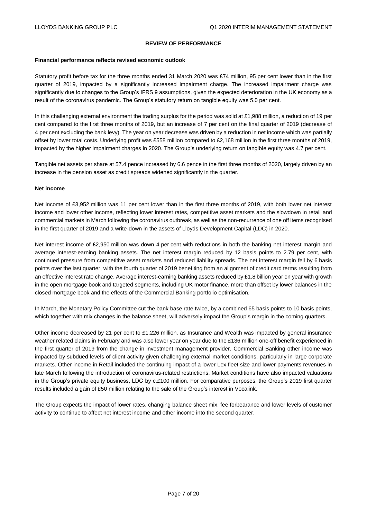#### **REVIEW OF PERFORMANCE**

#### **Financial performance reflects revised economic outlook**

Statutory profit before tax for the three months ended 31 March 2020 was £74 million, 95 per cent lower than in the first quarter of 2019, impacted by a significantly increased impairment charge. The increased impairment charge was significantly due to changes to the Group's IFRS 9 assumptions, given the expected deterioration in the UK economy as a result of the coronavirus pandemic. The Group's statutory return on tangible equity was 5.0 per cent.

In this challenging external environment the trading surplus for the period was solid at £1,988 million, a reduction of 19 per cent compared to the first three months of 2019, but an increase of 7 per cent on the final quarter of 2019 (decrease of 4 per cent excluding the bank levy). The year on year decrease was driven by a reduction in net income which was partially offset by lower total costs. Underlying profit was £558 million compared to £2,168 million in the first three months of 2019, impacted by the higher impairment charges in 2020. The Group's underlying return on tangible equity was 4.7 per cent.

Tangible net assets per share at 57.4 pence increased by 6.6 pence in the first three months of 2020, largely driven by an increase in the pension asset as credit spreads widened significantly in the quarter.

#### **Net income**

Net income of £3,952 million was 11 per cent lower than in the first three months of 2019, with both lower net interest income and lower other income, reflecting lower interest rates, competitive asset markets and the slowdown in retail and commercial markets in March following the coronavirus outbreak, as well as the non-recurrence of one off items recognised in the first quarter of 2019 and a write-down in the assets of Lloyds Development Capital (LDC) in 2020.

Net interest income of £2,950 million was down 4 per cent with reductions in both the banking net interest margin and average interest-earning banking assets. The net interest margin reduced by 12 basis points to 2.79 per cent, with continued pressure from competitive asset markets and reduced liability spreads. The net interest margin fell by 6 basis points over the last quarter, with the fourth quarter of 2019 benefiting from an alignment of credit card terms resulting from an effective interest rate change. Average interest-earning banking assets reduced by £1.8 billion year on year with growth in the open mortgage book and targeted segments, including UK motor finance, more than offset by lower balances in the closed mortgage book and the effects of the Commercial Banking portfolio optimisation.

In March, the Monetary Policy Committee cut the bank base rate twice, by a combined 65 basis points to 10 basis points, which together with mix changes in the balance sheet, will adversely impact the Group's margin in the coming quarters.

Other income decreased by 21 per cent to £1,226 million, as Insurance and Wealth was impacted by general insurance weather related claims in February and was also lower year on year due to the £136 million one-off benefit experienced in the first quarter of 2019 from the change in investment management provider. Commercial Banking other income was impacted by subdued levels of client activity given challenging external market conditions, particularly in large corporate markets. Other income in Retail included the continuing impact of a lower Lex fleet size and lower payments revenues in late March following the introduction of coronavirus-related restrictions. Market conditions have also impacted valuations in the Group's private equity business, LDC by c.£100 million. For comparative purposes, the Group's 2019 first quarter results included a gain of £50 million relating to the sale of the Group's interest in Vocalink.

The Group expects the impact of lower rates, changing balance sheet mix, fee forbearance and lower levels of customer activity to continue to affect net interest income and other income into the second quarter.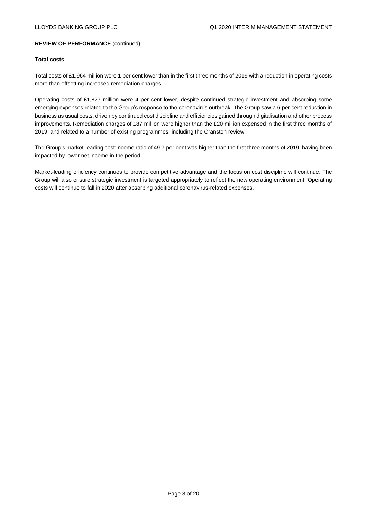#### **Total costs**

Total costs of £1,964 million were 1 per cent lower than in the first three months of 2019 with a reduction in operating costs more than offsetting increased remediation charges.

Operating costs of £1,877 million were 4 per cent lower, despite continued strategic investment and absorbing some emerging expenses related to the Group's response to the coronavirus outbreak. The Group saw a 6 per cent reduction in business as usual costs, driven by continued cost discipline and efficiencies gained through digitalisation and other process improvements. Remediation charges of £87 million were higher than the £20 million expensed in the first three months of 2019, and related to a number of existing programmes, including the Cranston review.

The Group's market-leading cost:income ratio of 49.7 per cent was higher than the first three months of 2019, having been impacted by lower net income in the period.

Market-leading efficiency continues to provide competitive advantage and the focus on cost discipline will continue. The Group will also ensure strategic investment is targeted appropriately to reflect the new operating environment. Operating costs will continue to fall in 2020 after absorbing additional coronavirus-related expenses.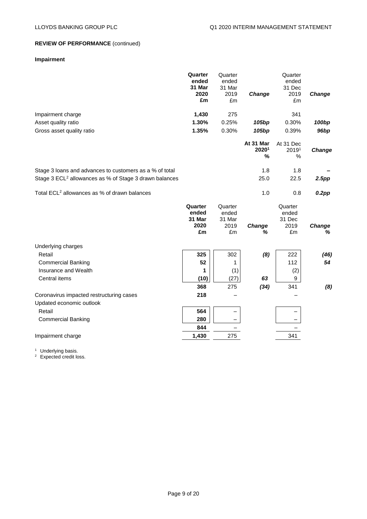## **Impairment**

|                                                                    | Quarter<br>ended<br>31 Mar<br>2020<br>£m | Quarter<br>ended<br>31 Mar<br>2019<br>£m | Change                  | Quarter<br>ended<br>31 Dec<br>2019<br>£m | Change      |
|--------------------------------------------------------------------|------------------------------------------|------------------------------------------|-------------------------|------------------------------------------|-------------|
| Impairment charge                                                  | 1,430                                    | 275                                      |                         | 341                                      |             |
| Asset quality ratio                                                | 1.30%                                    | 0.25%                                    | 105 <sub>bp</sub>       | 0.30%                                    | 100bp       |
| Gross asset quality ratio                                          | 1.35%                                    | 0.30%                                    | 105 <sub>bp</sub>       | 0.39%                                    | 96bp        |
|                                                                    |                                          |                                          | At 31 Mar<br>20201<br>% | At 31 Dec<br>20191<br>%                  | Change      |
| Stage 3 loans and advances to customers as a % of total            |                                          |                                          | 1.8                     | 1.8                                      |             |
| Stage 3 ECL <sup>2</sup> allowances as % of Stage 3 drawn balances |                                          |                                          | 25.0                    | 22.5                                     | 2.5pp       |
| Total ECL <sup>2</sup> allowances as % of drawn balances           |                                          |                                          | 1.0                     | 0.8                                      | $0.2$ pp    |
|                                                                    | Quarter<br>ended<br>31 Mar<br>2020<br>£m | Quarter<br>ended<br>31 Mar<br>2019       | Change                  | Quarter<br>ended<br>31 Dec<br>2019       | Change<br>% |
|                                                                    |                                          | £m                                       | ℅                       | £m                                       |             |
| Underlying charges                                                 |                                          |                                          |                         |                                          |             |
| Retail                                                             | 325                                      | 302                                      | (8)                     | 222                                      | (46)        |
| <b>Commercial Banking</b>                                          | 52                                       | 1                                        |                         | 112                                      | 54          |
| Insurance and Wealth<br>Central items                              | 1                                        | (1)                                      | 63                      | (2)<br>9                                 |             |
|                                                                    | (10)<br>368                              | (27)<br>275                              |                         | 341                                      |             |
| Coronavirus impacted restructuring cases                           | 218                                      |                                          | (34)                    |                                          | (8)         |
| Updated economic outlook                                           |                                          |                                          |                         |                                          |             |
| Retail                                                             | 564                                      |                                          |                         |                                          |             |
| <b>Commercial Banking</b>                                          | 280                                      |                                          |                         |                                          |             |
|                                                                    | 844                                      |                                          |                         |                                          |             |
| Impairment charge                                                  | 1,430                                    | 275                                      |                         | 341                                      |             |

<sup>1</sup> Underlying basis.

 $2$  Expected credit loss.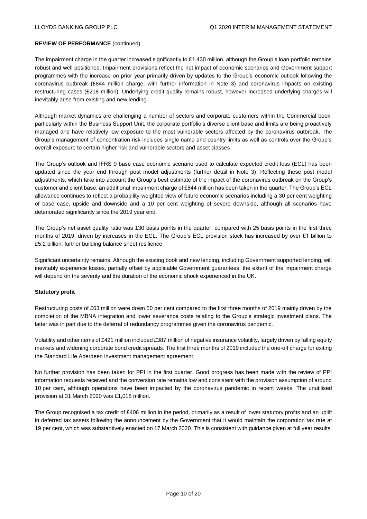The impairment charge in the quarter increased significantly to  $£1,430$  million, although the Group's loan portfolio remains robust and well positioned. Impairment provisions reflect the net impact of economic scenarios and Government support programmes with the increase on prior year primarily driven by updates to the Group's economic outlook following the coronavirus outbreak (£844 million charge, with further information in Note 3) and coronavirus impacts on existing restructuring cases (£218 million). Underlying credit quality remains robust, however increased underlying charges will inevitably arise from existing and new lending.

Although market dynamics are challenging a number of sectors and corporate customers within the Commercial book, particularly within the Business Support Unit, the corporate portfolio's diverse client base and limits are being proactively managed and have relatively low exposure to the most vulnerable sectors affected by the coronavirus outbreak. The Group's management of concentration risk includes single name and country limits as well as controls over the Group's overall exposure to certain higher risk and vulnerable sectors and asset classes.

The Group's outlook and IFRS 9 base case economic scenario used to calculate expected credit loss (ECL) has been updated since the year end through post model adjustments (further detail in Note 3). Reflecting these post model adjustments, which take into account the Group's best estimate of the impact of the coronavirus outbreak on the Group's customer and client base, an additional impairment charge of £844 million has been taken in the quarter. The Group's ECL allowance continues to reflect a probability-weighted view of future economic scenarios including a 30 per cent weighting of base case, upside and downside and a 10 per cent weighting of severe downside, although all scenarios have deteriorated significantly since the 2019 year end.

The Group's net asset quality ratio was 130 basis points in the quarter, compared with 25 basis points in the first three months of 2019, driven by increases in the ECL. The Group's ECL provision stock has increased by over £1 billion to £5.2 billion, further building balance sheet resilience.

Significant uncertainty remains. Although the existing book and new lending, including Government supported lending, will inevitably experience losses, partially offset by applicable Government guarantees, the extent of the impairment charge will depend on the severity and the duration of the economic shock experienced in the UK.

## **Statutory profit**

Restructuring costs of £63 million were down 50 per cent compared to the first three months of 2019 mainly driven by the completion of the MBNA integration and lower severance costs relating to the Group's strategic investment plans. The latter was in part due to the deferral of redundancy programmes given the coronavirus pandemic.

Volatility and other items of £421 million included £387 million of negative insurance volatility, largely driven by falling equity markets and widening corporate bond credit spreads. The first three months of 2019 included the one-off charge for exiting the Standard Life Aberdeen investment management agreement.

No further provision has been taken for PPI in the first quarter. Good progress has been made with the review of PPI information requests received and the conversion rate remains low and consistent with the provision assumption of around 10 per cent, although operations have been impacted by the coronavirus pandemic in recent weeks. The unutilised provision at 31 March 2020 was £1,018 million.

The Group recognised a tax credit of £406 million in the period, primarily as a result of lower statutory profits and an uplift in deferred tax assets following the announcement by the Government that it would maintain the corporation tax rate at 19 per cent, which was substantively enacted on 17 March 2020. This is consistent with guidance given at full year results.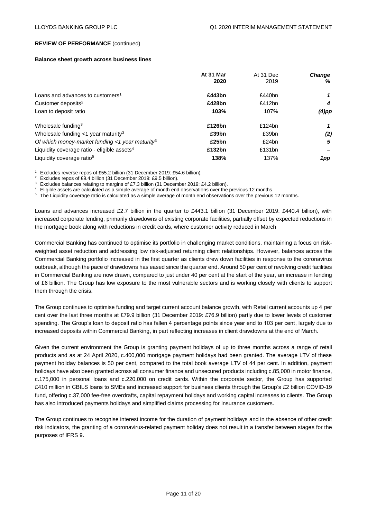#### **Balance sheet growth across business lines**

|                                                             | At 31 Mar<br>2020 | At 31 Dec<br>2019 | <b>Change</b><br>% |
|-------------------------------------------------------------|-------------------|-------------------|--------------------|
|                                                             |                   |                   |                    |
| Loans and advances to customers <sup>1</sup>                | £443bn            | £440bn            |                    |
| Customer deposits <sup>2</sup>                              | £428bn            | £412 $bn$         | 4                  |
| Loan to deposit ratio                                       | 103%              | 107%              | (4)pp              |
| Wholesale funding <sup>3</sup>                              | £126bn            | £124 $bn$         | 1                  |
| Wholesale funding $<$ 1 year maturity <sup>3</sup>          | £39bn             | £39bn             | (2)                |
| Of which money-market funding <1 year maturity <sup>3</sup> | £25bn             | £24bn             | 5                  |
| Liquidity coverage ratio - eligible assets $4$              | £132bn            | £131bn            |                    |
| Liquidity coverage ratio <sup>5</sup>                       | 138%              | 137%              | 1pp                |

<sup>1</sup> Excludes reverse repos of £55.2 billion (31 December 2019: £54.6 billion).

<sup>2</sup> Excludes repos of £9.4 billion (31 December 2019: £9.5 billion).<br><sup>3</sup> Evoludes belances relating to margins of £7.2 billion (21 Decem

Excludes balances relating to margins of £7.3 billion (31 December 2019: £4.2 billion).

<sup>4</sup> Eligible assets are calculated as a simple average of month end observations over the previous 12 months.

<sup>5</sup> The Liquidity coverage ratio is calculated as a simple average of month end observations over the previous 12 months.

Loans and advances increased £2.7 billion in the quarter to £443.1 billion (31 December 2019: £440.4 billion), with increased corporate lending, primarily drawdowns of existing corporate facilities, partially offset by expected reductions in the mortgage book along with reductions in credit cards, where customer activity reduced in March

Commercial Banking has continued to optimise its portfolio in challenging market conditions, maintaining a focus on riskweighted asset reduction and addressing low risk-adjusted returning client relationships. However, balances across the Commercial Banking portfolio increased in the first quarter as clients drew down facilities in response to the coronavirus outbreak, although the pace of drawdowns has eased since the quarter end. Around 50 per cent of revolving credit facilities in Commercial Banking are now drawn, compared to just under 40 per cent at the start of the year, an increase in lending of £6 billion. The Group has low exposure to the most vulnerable sectors and is working closely with clients to support them through the crisis.

The Group continues to optimise funding and target current account balance growth, with Retail current accounts up 4 per cent over the last three months at £79.9 billion (31 December 2019: £76.9 billion) partly due to lower levels of customer spending. The Group's loan to deposit ratio has fallen 4 percentage points since year end to 103 per cent, largely due to increased deposits within Commercial Banking, in part reflecting increases in client drawdowns at the end of March.

Given the current environment the Group is granting payment holidays of up to three months across a range of retail products and as at 24 April 2020, c.400,000 mortgage payment holidays had been granted. The average LTV of these payment holiday balances is 50 per cent, compared to the total book average LTV of 44 per cent. In addition, payment holidays have also been granted across all consumer finance and unsecured products including c.85,000 in motor finance, c.175,000 in personal loans and c.220,000 on credit cards. Within the corporate sector, the Group has supported £410 million in CBILS loans to SMEs and increased support for business clients through the Group's £2 billion COVID-19 fund, offering c.37,000 fee-free overdrafts, capital repayment holidays and working capital increases to clients. The Group has also introduced payments holidays and simplified claims processing for Insurance customers.

The Group continues to recognise interest income for the duration of payment holidays and in the absence of other credit risk indicators, the granting of a coronavirus-related payment holiday does not result in a transfer between stages for the purposes of IFRS 9.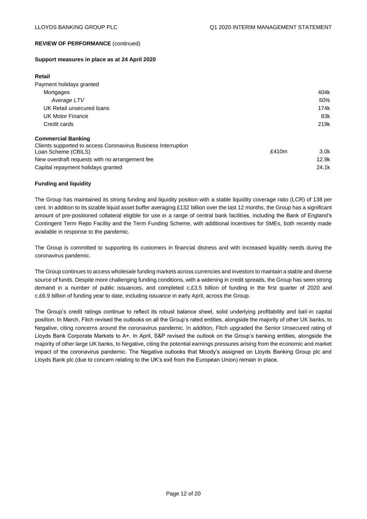#### **Support measures in place as at 24 April 2020**

#### **Retail**

| Payment holidays granted                                      |       |                  |
|---------------------------------------------------------------|-------|------------------|
| Mortgages                                                     |       | 404k             |
| Average LTV                                                   |       | 50%              |
| UK Retail unsecured loans                                     |       | 174k             |
| UK Motor Finance                                              |       | 83k              |
| Credit cards                                                  |       | 219k             |
| <b>Commercial Banking</b>                                     |       |                  |
| Clients supported to access Coronavirus Business Interruption |       |                  |
| Loan Scheme (CBILS)                                           | £410m | 3.0 <sub>k</sub> |
| New overdraft requests with no arrangement fee                |       | 12.9k            |

Capital repayment holidays granted 24.1k

## **Funding and liquidity**

The Group has maintained its strong funding and liquidity position with a stable liquidity coverage ratio (LCR) of 138 per cent. In addition to its sizable liquid asset buffer averaging £132 billion over the last 12 months, the Group has a significant amount of pre-positioned collateral eligible for use in a range of central bank facilities, including the Bank of England's Contingent Term Repo Facility and the Term Funding Scheme, with additional incentives for SMEs, both recently made available in response to the pandemic.

The Group is committed to supporting its customers in financial distress and with increased liquidity needs during the coronavirus pandemic.

The Group continues to access wholesale funding markets across currencies and investors to maintain a stable and diverse source of funds. Despite more challenging funding conditions, with a widening in credit spreads, the Group has seen strong demand in a number of public issuances, and completed c.£3.5 billion of funding in the first quarter of 2020 and c.£6.9 billion of funding year to date, including issuance in early April, across the Group.

The Group's credit ratings continue to reflect its robust balance sheet, solid underlying profitability and bail-in capital position. In March, Fitch revised the outlooks on all the Group's rated entities, alongside the majority of other UK banks, to Negative, citing concerns around the coronavirus pandemic. In addition, Fitch upgraded the Senior Unsecured rating of Lloyds Bank Corporate Markets to A+. In April, S&P revised the outlook on the Group's banking entities, alongside the majority of other large UK banks, to Negative, citing the potential earnings pressures arising from the economic and market impact of the coronavirus pandemic. The Negative outlooks that Moody's assigned on Lloyds Banking Group plc and Lloyds Bank plc (due to concern relating to the UK's exit from the European Union) remain in place.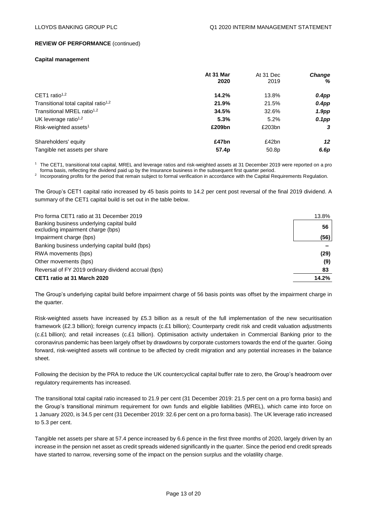#### **Capital management**

|                                                 | At 31 Mar | At 31 Dec | <b>Change</b>     |
|-------------------------------------------------|-----------|-----------|-------------------|
|                                                 | 2020      | 2019      | %                 |
| CET1 ratio <sup>1,2</sup>                       | 14.2%     | 13.8%     | $0.4$ pp          |
| Transitional total capital ratio <sup>1,2</sup> | 21.9%     | 21.5%     | $0.4$ pp          |
| Transitional MREL ratio <sup>1,2</sup>          | 34.5%     | 32.6%     | 1.9 <sub>pp</sub> |
| UK leverage ratio <sup>1,2</sup>                | 5.3%      | 5.2%      | $0.1$ pp          |
| Risk-weighted assets <sup>1</sup>               | £209bn    | £203bn    | 3                 |
| Shareholders' equity                            | £47bn     | £42bn     | 12                |
| Tangible net assets per share                   | 57.4p     | 50.8p     | 6.6p              |

<sup>1</sup> The CET1, transitional total capital, MREL and leverage ratios and risk-weighted assets at 31 December 2019 were reported on a pro forma basis, reflecting the dividend paid up by the Insurance business in the subsequent first quarter period.

<sup>2</sup> Incorporating profits for the period that remain subject to formal verification in accordance with the Capital Requirements Regulation.

The Group's CET1 capital ratio increased by 45 basis points to 14.2 per cent post reversal of the final 2019 dividend. A summary of the CET1 capital build is set out in the table below.

| Pro forma CET1 ratio at 31 December 2019                                       | 13.8% |
|--------------------------------------------------------------------------------|-------|
| Banking business underlying capital build<br>excluding impairment charge (bps) | 56    |
| Impairment charge (bps)                                                        | (56)  |
| Banking business underlying capital build (bps)                                |       |
| RWA movements (bps)                                                            | (29)  |
| Other movements (bps)                                                          | (9)   |
| Reversal of FY 2019 ordinary dividend accrual (bps)                            | 83    |
| CET1 ratio at 31 March 2020                                                    | 14.2% |

The Group's underlying capital build before impairment charge of 56 basis points was offset by the impairment charge in the quarter.

Risk-weighted assets have increased by £5.3 billion as a result of the full implementation of the new securitisation framework (£2.3 billion); foreign currency impacts (c.£1 billion); Counterparty credit risk and credit valuation adjustments (c.£1 billion); and retail increases (c.£1 billion). Optimisation activity undertaken in Commercial Banking prior to the coronavirus pandemic has been largely offset by drawdowns by corporate customers towards the end of the quarter. Going forward, risk-weighted assets will continue to be affected by credit migration and any potential increases in the balance sheet.

Following the decision by the PRA to reduce the UK countercyclical capital buffer rate to zero, the Group's headroom over regulatory requirements has increased.

The transitional total capital ratio increased to 21.9 per cent (31 December 2019: 21.5 per cent on a pro forma basis) and the Group's transitional minimum requirement for own funds and eligible liabilities (MREL), which came into force on 1 January 2020, is 34.5 per cent (31 December 2019: 32.6 per cent on a pro forma basis). The UK leverage ratio increased to 5.3 per cent.

Tangible net assets per share at 57.4 pence increased by 6.6 pence in the first three months of 2020, largely driven by an increase in the pension net asset as credit spreads widened significantly in the quarter. Since the period end credit spreads have started to narrow, reversing some of the impact on the pension surplus and the volatility charge.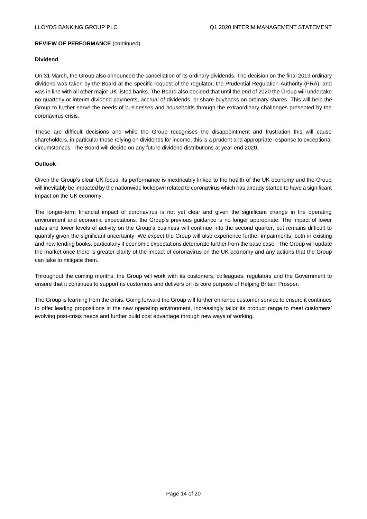#### **Dividend**

On 31 March, the Group also announced the cancellation of its ordinary dividends. The decision on the final 2019 ordinary dividend was taken by the Board at the specific request of the regulator, the Prudential Regulation Authority (PRA), and was in line with all other major UK listed banks. The Board also decided that until the end of 2020 the Group will undertake no quarterly or interim dividend payments, accrual of dividends, or share buybacks on ordinary shares. This will help the Group to further serve the needs of businesses and households through the extraordinary challenges presented by the coronavirus crisis.

These are difficult decisions and while the Group recognises the disappointment and frustration this will cause shareholders, in particular those relying on dividends for income, this is a prudent and appropriate response to exceptional circumstances. The Board will decide on any future dividend distributions at year end 2020.

## **Outlook**

Given the Group's clear UK focus, its performance is inextricably linked to the health of the UK economy and the Group will inevitably be impacted by the nationwide lockdown related to coronavirus which has already started to have a significant impact on the UK economy.

The longer-term financial impact of coronavirus is not yet clear and given the significant change in the operating environment and economic expectations, the Group's previous guidance is no longer appropriate. The impact of lower rates and lower levels of activity on the Group's business will continue into the second quarter, but remains difficult to quantify given the significant uncertainty. We expect the Group will also experience further impairments, both in existing and new lending books, particularly if economic expectations deteriorate further from the base case. The Group will update the market once there is greater clarity of the impact of coronavirus on the UK economy and any actions that the Group can take to mitigate them.

Throughout the coming months, the Group will work with its customers, colleagues, regulators and the Government to ensure that it continues to support its customers and delivers on its core purpose of Helping Britain Prosper.

The Group is learning from the crisis. Going forward the Group will further enhance customer service to ensure it continues to offer leading propositions in the new operating environment, increasingly tailor its product range to meet customers' evolving post-crisis needs and further build cost advantage through new ways of working.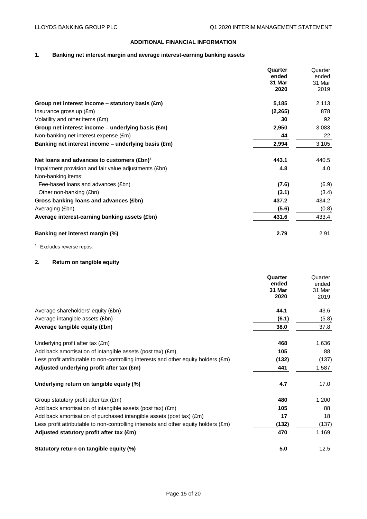## **ADDITIONAL FINANCIAL INFORMATION**

# **1. Banking net interest margin and average interest-earning banking assets**

|                                                             | Quarter<br>ended<br>31 Mar<br>2020 | Quarter<br>ended<br>31 Mar<br>2019 |
|-------------------------------------------------------------|------------------------------------|------------------------------------|
| Group net interest income $-$ statutory basis $(\text{Em})$ | 5,185                              | 2,113                              |
| Insurance gross up (£m)                                     | (2, 265)                           | 878                                |
| Volatility and other items (£m)                             | 30                                 | 92                                 |
| Group net interest income $-$ underlying basis (£m)         | 2,950                              | 3,083                              |
| Non-banking net interest expense (£m)                       | 44                                 | 22                                 |
| Banking net interest income – underlying basis (£m)         | 2,994                              | 3,105                              |
| Net loans and advances to customers $(\text{Ebn})^1$        | 443.1                              | 440.5                              |
| Impairment provision and fair value adjustments (£bn)       | 4.8                                | 4.0                                |
| Non-banking items:                                          |                                    |                                    |
| Fee-based loans and advances (£bn)                          | (7.6)                              | (6.9)                              |
| Other non-banking (£bn)                                     | (3.1)                              | (3.4)                              |
| Gross banking loans and advances (£bn)                      | 437.2                              | 434.2                              |
| Averaging (£bn)                                             | (5.6)                              | (0.8)                              |
| Average interest-earning banking assets (£bn)               | 431.6                              | 433.4                              |
| Banking net interest margin (%)                             | 2.79                               | 2.91                               |

<sup>1</sup> Excludes reverse repos.

# **2. Return on tangible equity**

|                                                                                     | Quarter<br>ended<br>31 Mar<br>2020 | Quarter<br>ended<br>31 Mar<br>2019 |
|-------------------------------------------------------------------------------------|------------------------------------|------------------------------------|
| Average shareholders' equity (£bn)                                                  | 44.1                               | 43.6                               |
| Average intangible assets (£bn)                                                     | (6.1)                              | (5.8)                              |
| Average tangible equity (£bn)                                                       | 38.0                               | 37.8                               |
| Underlying profit after tax (£m)                                                    | 468                                | 1,636                              |
| Add back amortisation of intangible assets (post tax) (£m)                          | 105                                | 88                                 |
| Less profit attributable to non-controlling interests and other equity holders (£m) | (132)                              | (137)                              |
| Adjusted underlying profit after tax (£m)                                           | 441                                | 1,587                              |
| Underlying return on tangible equity (%)                                            | 4.7                                | 17.0                               |
| Group statutory profit after tax (£m)                                               | 480                                | 1,200                              |
| Add back amortisation of intangible assets (post tax) (£m)                          | 105                                | 88                                 |
| Add back amortisation of purchased intangible assets (post tax) (£m)                | 17                                 | 18                                 |
| Less profit attributable to non-controlling interests and other equity holders (£m) | (132)                              | (137)                              |
| Adjusted statutory profit after tax (£m)                                            | 470                                | 1,169                              |
| Statutory return on tangible equity (%)                                             | 5.0                                | 12.5                               |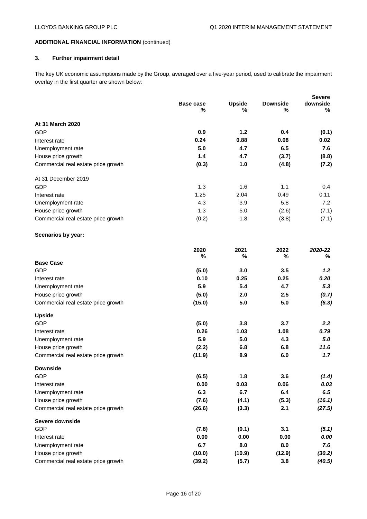## **ADDITIONAL FINANCIAL INFORMATION** (continued)

## **3. Further impairment detail**

The key UK economic assumptions made by the Group, averaged over a five-year period, used to calibrate the impairment overlay in the first quarter are shown below:

|                                     |           |               |                 | <b>Severe</b> |
|-------------------------------------|-----------|---------------|-----------------|---------------|
|                                     | Base case | <b>Upside</b> | <b>Downside</b> | downside      |
|                                     | %         | $\%$          | %               | %             |
| At 31 March 2020                    |           |               |                 |               |
| GDP                                 | 0.9       | 1.2           | 0.4             | (0.1)         |
| Interest rate                       | 0.24      | 0.88          | 0.08            | 0.02          |
| Unemployment rate                   | 5.0       | 4.7           | 6.5             | 7.6           |
| House price growth                  | 1.4       | 4.7           | (3.7)           | (8.8)         |
| Commercial real estate price growth | (0.3)     | 1.0           | (4.8)           | (7.2)         |
| At 31 December 2019                 |           |               |                 |               |
| GDP                                 | 1.3       | 1.6           | 1.1             | $0.4^{\circ}$ |
| Interest rate                       | 1.25      | 2.04          | 0.49            | 0.11          |
| Unemployment rate                   | 4.3       | 3.9           | 5.8             | 7.2           |
| House price growth                  | 1.3       | 5.0           | (2.6)           | (7.1)         |
| Commercial real estate price growth | (0.2)     | 1.8           | (3.8)           | (7.1)         |
|                                     |           |               |                 |               |

## **Scenarios by year:**

|                                     | 2020   | 2021   | 2022   | 2020-22 |
|-------------------------------------|--------|--------|--------|---------|
|                                     | %      | %      | %      | ℅       |
| <b>Base Case</b>                    |        |        |        |         |
| <b>GDP</b>                          | (5.0)  | 3.0    | 3.5    | 1.2     |
| Interest rate                       | 0.10   | 0.25   | 0.25   | 0.20    |
| Unemployment rate                   | 5.9    | 5.4    | 4.7    | 5.3     |
| House price growth                  | (5.0)  | 2.0    | 2.5    | (0.7)   |
| Commercial real estate price growth | (15.0) | 5.0    | 5.0    | (6.3)   |
| <b>Upside</b>                       |        |        |        |         |
| <b>GDP</b>                          | (5.0)  | 3.8    | 3.7    | 2.2     |
| Interest rate                       | 0.26   | 1.03   | 1.08   | 0.79    |
| Unemployment rate                   | 5.9    | 5.0    | 4.3    | 5.0     |
| House price growth                  | (2.2)  | 6.8    | 6.8    | 11.6    |
| Commercial real estate price growth | (11.9) | 8.9    | 6.0    | 1.7     |
| <b>Downside</b>                     |        |        |        |         |
| <b>GDP</b>                          | (6.5)  | 1.8    | 3.6    | (1.4)   |
| Interest rate                       | 0.00   | 0.03   | 0.06   | 0.03    |
| Unemployment rate                   | 6.3    | 6.7    | 6.4    | 6.5     |
| House price growth                  | (7.6)  | (4.1)  | (5.3)  | (16.1)  |
| Commercial real estate price growth | (26.6) | (3.3)  | 2.1    | (27.5)  |
| Severe downside                     |        |        |        |         |
| <b>GDP</b>                          | (7.8)  | (0.1)  | 3.1    | (5.1)   |
| Interest rate                       | 0.00   | 0.00   | 0.00   | 0.00    |
| Unemployment rate                   | 6.7    | 8.0    | 8.0    | 7.6     |
| House price growth                  | (10.0) | (10.9) | (12.9) | (30.2)  |
| Commercial real estate price growth | (39.2) | (5.7)  | 3.8    | (40.5)  |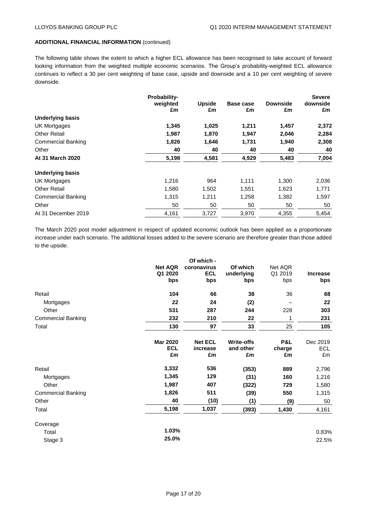#### **ADDITIONAL FINANCIAL INFORMATION** (continued)

The following table shows the extent to which a higher ECL allowance has been recognised to take account of forward looking information from the weighted multiple economic scenarios. The Group's probability-weighted ECL allowance continues to reflect a 30 per cent weighting of base case, upside and downside and a 10 per cent weighting of severe downside.

|                           | Probability- |               |           |                 | <b>Severe</b> |
|---------------------------|--------------|---------------|-----------|-----------------|---------------|
|                           | weighted     | <b>Upside</b> | Base case | <b>Downside</b> | downside      |
|                           | £m           | £m            | £m        | £m              | £m            |
| <b>Underlying basis</b>   |              |               |           |                 |               |
| <b>UK Mortgages</b>       | 1,345        | 1,025         | 1,211     | 1,457           | 2,372         |
| <b>Other Retail</b>       | 1,987        | 1,870         | 1,947     | 2,046           | 2,284         |
| <b>Commercial Banking</b> | 1,826        | 1,646         | 1,731     | 1,940           | 2,308         |
| Other                     | 40           | 40            | 40        | 40              | 40            |
| At 31 March 2020          | 5,198        | 4,581         | 4,929     | 5,483           | 7,004         |
| <b>Underlying basis</b>   |              |               |           |                 |               |
| UK Mortgages              | 1,216        | 964           | 1,111     | 1,300           | 2,036         |
| <b>Other Retail</b>       | 1,580        | 1,502         | 1,551     | 1,623           | 1,771         |
| <b>Commercial Banking</b> | 1,315        | 1,211         | 1,258     | 1,382           | 1,597         |
| Other                     | 50           | 50            | 50        | 50              | 50            |
| At 31 December 2019       | 4,161        | 3,727         | 3,970     | 4,355           | 5,454         |

The March 2020 post model adjustment in respect of updated economic outlook has been applied as a proportionate increase under each scenario. The additional losses added to the severe scenario are therefore greater than those added to the upside.

|                           | <b>Net AQR</b><br>Q1 2020<br>bps    | Of which -<br>coronavirus<br><b>ECL</b><br>bps | Of which<br>underlying<br>bps        | Net AQR<br>Q1 2019<br>bps | <b>Increase</b><br>bps |
|---------------------------|-------------------------------------|------------------------------------------------|--------------------------------------|---------------------------|------------------------|
| Retail                    | 104                                 | 66                                             | 38                                   | 36                        | 68                     |
| Mortgages                 | 22                                  | 24                                             | (2)                                  |                           | 22                     |
| Other                     | 531                                 | 287                                            | 244                                  | 228                       | 303                    |
| <b>Commercial Banking</b> | 232                                 | 210                                            | 22                                   | 1                         | 231                    |
| Total                     | 130                                 | 97                                             | 33                                   | 25                        | 105                    |
|                           | <b>Mar 2020</b><br><b>ECL</b><br>£m | <b>Net ECL</b><br>increase<br>£m               | <b>Write-offs</b><br>and other<br>£m | P&L<br>charge<br>£m       | Dec 2019<br>ECL<br>£m  |
| Retail                    | 3,332                               | 536                                            | (353)                                | 889                       | 2,796                  |
| Mortgages                 | 1,345                               | 129                                            | (31)                                 | 160                       | 1,216                  |
| Other                     | 1,987                               | 407                                            | (322)                                | 729                       | 1,580                  |
| <b>Commercial Banking</b> | 1,826                               | 511                                            | (39)                                 | 550                       | 1,315                  |
| Other                     | 40                                  | (10)                                           | (1)                                  | (9)                       | 50                     |
| Total                     | 5,198                               | 1,037                                          | (393)                                | 1,430                     | 4,161                  |
| Coverage                  |                                     |                                                |                                      |                           |                        |
| Total                     | 1.03%                               |                                                |                                      |                           | 0.83%                  |
| Stage 3                   | 25.0%                               |                                                |                                      |                           | 22.5%                  |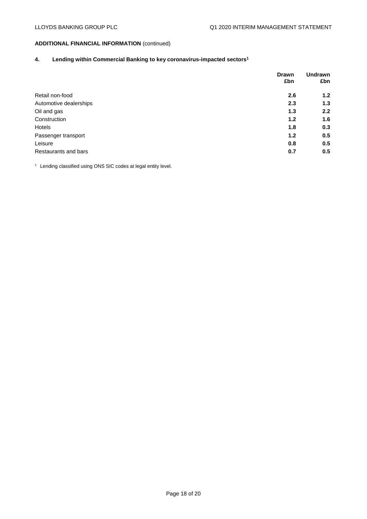# **ADDITIONAL FINANCIAL INFORMATION** (continued)

## **4. Lending within Commercial Banking to key coronavirus-impacted sectors<sup>1</sup>**

|                        | <b>Drawn</b> | <b>Undrawn</b>   |
|------------------------|--------------|------------------|
|                        | £bn          | £bn              |
| Retail non-food        | 2.6          | 1.2 <sub>2</sub> |
| Automotive dealerships | 2.3          | 1.3              |
| Oil and gas            | 1.3          | 2.2              |
| Construction           | 1.2          | 1.6              |
| Hotels                 | 1.8          | 0.3              |
| Passenger transport    | 1.2          | 0.5              |
| Leisure                | 0.8          | 0.5              |
| Restaurants and bars   | 0.7          | 0.5              |

<sup>1</sup> Lending classified using ONS SIC codes at legal entity level.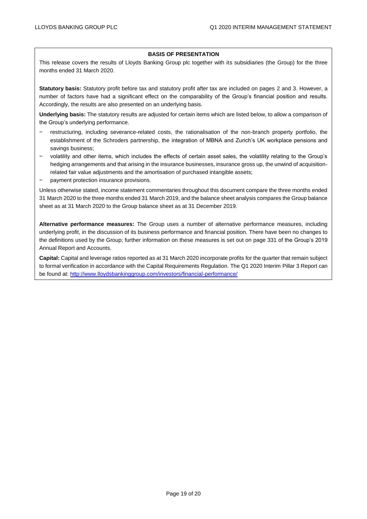#### **BASIS OF PRESENTATION**

This release covers the results of Lloyds Banking Group plc together with its subsidiaries (the Group) for the three months ended 31 March 2020.

**Statutory basis:** Statutory profit before tax and statutory profit after tax are included on pages 2 and 3. However, a number of factors have had a significant effect on the comparability of the Group's financial position and results. Accordingly, the results are also presented on an underlying basis.

**Underlying basis:** The statutory results are adjusted for certain items which are listed below, to allow a comparison of the Group's underlying performance.

- − restructuring, including severance-related costs, the rationalisation of the non-branch property portfolio, the establishment of the Schroders partnership, the integration of MBNA and Zurich's UK workplace pensions and savings business;
- − volatility and other items, which includes the effects of certain asset sales, the volatility relating to the Group's hedging arrangements and that arising in the insurance businesses, insurance gross up, the unwind of acquisitionrelated fair value adjustments and the amortisation of purchased intangible assets;
- − payment protection insurance provisions.

Unless otherwise stated, income statement commentaries throughout this document compare the three months ended 31 March 2020 to the three months ended 31 March 2019, and the balance sheet analysis compares the Group balance sheet as at 31 March 2020 to the Group balance sheet as at 31 December 2019.

**Alternative performance measures:** The Group uses a number of alternative performance measures, including underlying profit, in the discussion of its business performance and financial position. There have been no changes to the definitions used by the Group; further information on these measures is set out on page 331 of the Group's 2019 Annual Report and Accounts.

**Capital:** Capital and leverage ratios reported as at 31 March 2020 incorporate profits for the quarter that remain subject to formal verification in accordance with the Capital Requirements Regulation. The Q1 2020 Interim Pillar 3 Report can be found at: <http://www.lloydsbankinggroup.com/investors/financial-performance/>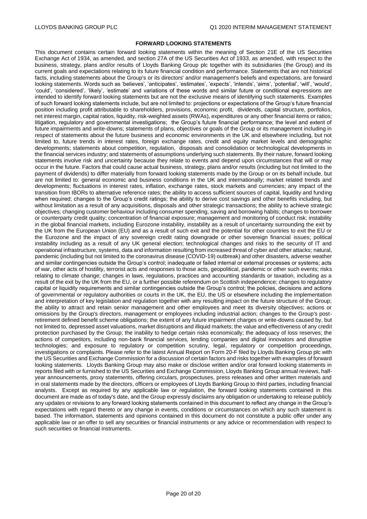#### **FORWARD LOOKING STATEMENTS**

This document contains certain forward looking statements within the meaning of Section 21E of the US Securities Exchange Act of 1934, as amended, and section 27A of the US Securities Act of 1933, as amended, with respect to the business, strategy, plans and/or results of Lloyds Banking Group plc together with its subsidiaries (the Group) and its current goals and expectations relating to its future financial condition and performance. Statements that are not historical facts, including statements about the Group's or its directors' and/or management's beliefs and expectations, are forward looking statements. Words such as 'believes', 'anticipates', 'estimates', 'expects', 'intends', 'aims', 'potential', 'will', 'would', 'could', 'considered', 'likely', 'estimate' and variations of these words and similar future or conditional expressions are intended to identify forward looking statements but are not the exclusive means of identifying such statements. Examples of such forward looking statements include, but are not limited to: projections or expectations of the Group's future financial position including profit attributable to shareholders, provisions, economic profit, dividends, capital structure, portfolios, net interest margin, capital ratios, liquidity, risk-weighted assets (RWAs), expenditures or any other financial items or ratios; litigation, regulatory and governmental investigations; the Group's future financial performance; the level and extent of future impairments and write-downs; statements of plans, objectives or goals of the Group or its management including in respect of statements about the future business and economic environments in the UK and elsewhere including, but not limited to, future trends in interest rates, foreign exchange rates, credit and equity market levels and demographic developments; statements about competition, regulation, disposals and consolidation or technological developments in the financial services industry; and statements of assumptions underlying such statements. By their nature, forward looking statements involve risk and uncertainty because they relate to events and depend upon circumstances that will or may occur in the future. Factors that could cause actual business, strategy, plans and/or results (including but not limited to the payment of dividends) to differ materially from forward looking statements made by the Group or on its behalf include, but are not limited to: general economic and business conditions in the UK and internationally; market related trends and developments; fluctuations in interest rates, inflation, exchange rates, stock markets and currencies; any impact of the transition from IBORs to alternative reference rates; the ability to access sufficient sources of capital, liquidity and funding when required; changes to the Group's credit ratings; the ability to derive cost savings and other benefits including, but without limitation as a result of any acquisitions, disposals and other strategic transactions; the ability to achieve strategic objectives; changing customer behaviour including consumer spending, saving and borrowing habits; changes to borrower or counterparty credit quality; concentration of financial exposure; management and monitoring of conduct risk; instability in the global financial markets, including Eurozone instability, instability as a result of uncertainty surrounding the exit by the UK from the European Union (EU) and as a result of such exit and the potential for other countries to exit the EU or the Eurozone and the impact of any sovereign credit rating downgrade or other sovereign financial issues; political instability including as a result of any UK general election; technological changes and risks to the security of IT and operational infrastructure, systems, data and information resulting from increased threat of cyber and other attacks; natural, pandemic (including but not limited to the coronavirus disease (COVID-19) outbreak) and other disasters, adverse weather and similar contingencies outside the Group's control; inadequate or failed internal or external processes or systems; acts of war, other acts of hostility, terrorist acts and responses to those acts, geopolitical, pandemic or other such events; risks relating to climate change; changes in laws, regulations, practices and accounting standards or taxation, including as a result of the exit by the UK from the EU, or a further possible referendum on Scottish independence; changes to regulatory capital or liquidity requirements and similar contingencies outside the Group's control; the policies, decisions and actions of governmental or regulatory authorities or courts in the UK, the EU, the US or elsewhere including the implementation and interpretation of key legislation and regulation together with any resulting impact on the future structure of the Group; the ability to attract and retain senior management and other employees and meet its diversity objectives; actions or omissions by the Group's directors, management or employees including industrial action; changes to the Group's postretirement defined benefit scheme obligations; the extent of any future impairment charges or write-downs caused by, but not limited to, depressed asset valuations, market disruptions and illiquid markets; the value and effectiveness of any credit protection purchased by the Group; the inability to hedge certain risks economically; the adequacy of loss reserves; the actions of competitors, including non-bank financial services, lending companies and digital innovators and disruptive technologies; and exposure to regulatory or competition scrutiny, legal, regulatory or competition proceedings, investigations or complaints. Please refer to the latest Annual Report on Form 20-F filed by Lloyds Banking Group plc with the US Securities and Exchange Commission for a discussion of certain factors and risks together with examples of forward looking statements. Lloyds Banking Group may also make or disclose written and/or oral forward looking statements in reports filed with or furnished to the US Securities and Exchange Commission, Lloyds Banking Group annual reviews, halfyear announcements, proxy statements, offering circulars, prospectuses, press releases and other written materials and in oral statements made by the directors, officers or employees of Lloyds Banking Group to third parties, including financial analysts. Except as required by any applicable law or regulation, the forward looking statements contained in this document are made as of today's date, and the Group expressly disclaims any obligation or undertaking to release publicly any updates or revisions to any forward looking statements contained in this document to reflect any change in the Group's expectations with regard thereto or any change in events, conditions or circumstances on which any such statement is based. The information, statements and opinions contained in this document do not constitute a public offer under any applicable law or an offer to sell any securities or financial instruments or any advice or recommendation with respect to such securities or financial instruments.